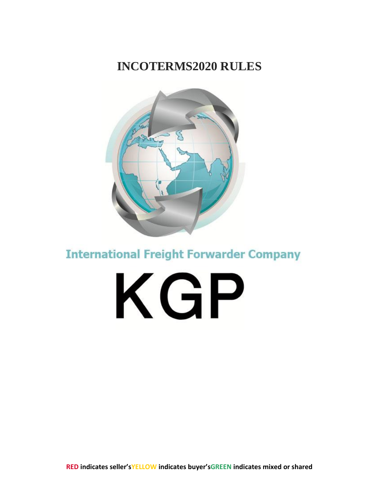### **INCOTERMS2020 RULES**



**International Freight Forwarder Company** 

KGP

**RED indicates seller'sYELLOW indicates buyer'sGREEN indicates mixed or shared**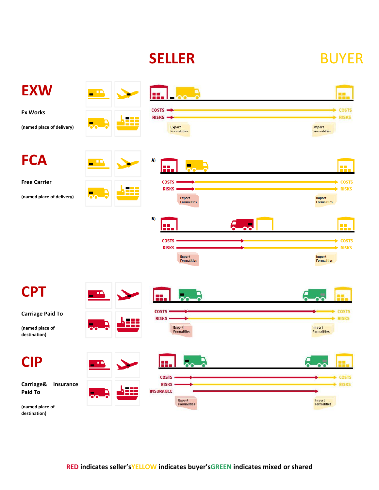# **SELLER** BUYER

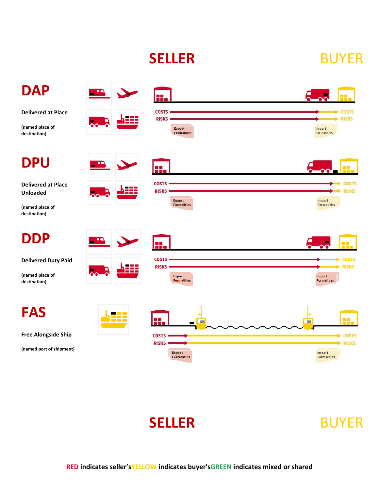# **SELLER** BUYER